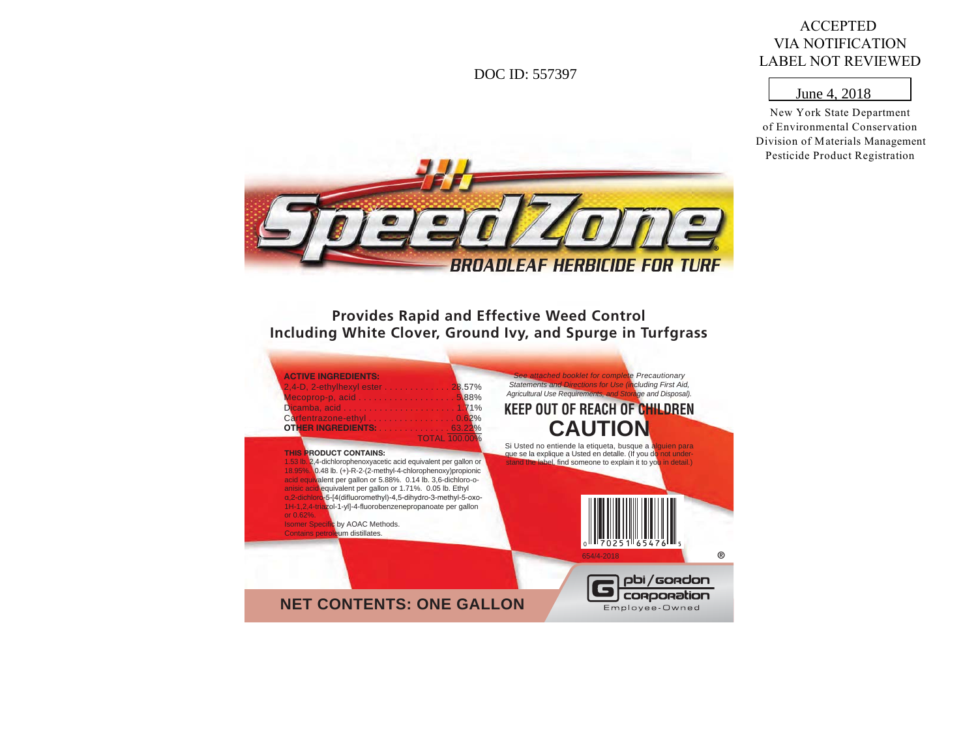# DOC ID: 557397

# ACCEPTED VIA NOTIFICATIONLABEL NOT REVIEWED

# June 4, 2018

New York State Departmentof Environmental Conservation Division of Materials ManagementPesticide Product Registration



**Provides Rapid and Effective Weed Control Including White Clover, Ground Ivy, and Spurge in Turfgrass**

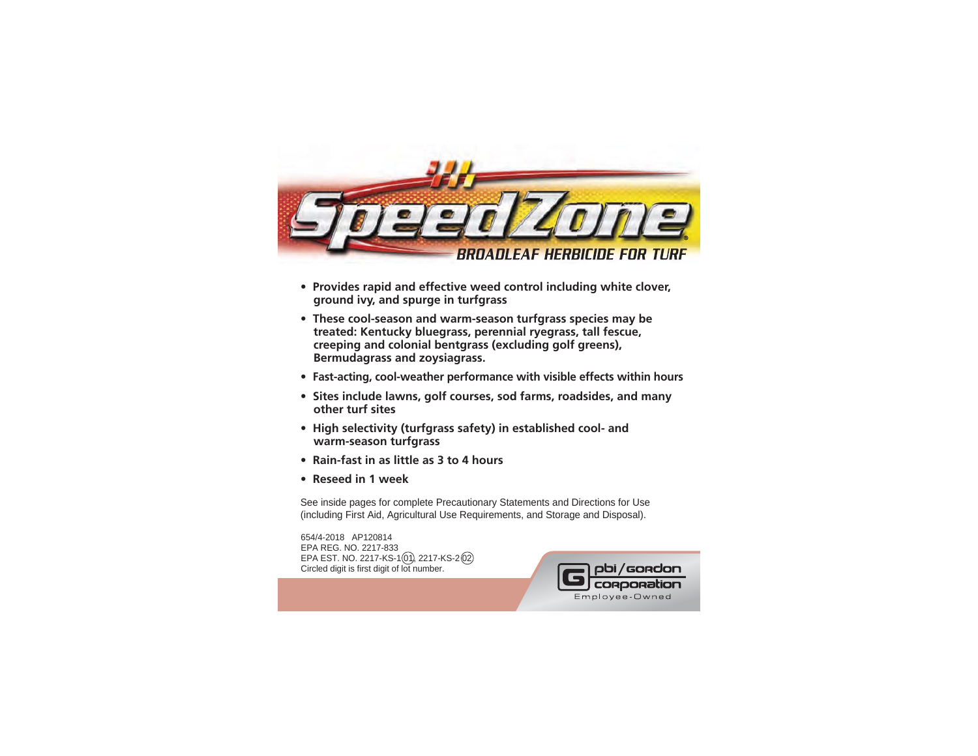

- **Provides rapid and effective weed control including white clover, ground ivy, and spurge in turfgrass**
- **These cool-season and warm-season turfgrass species may be treated: Kentucky bluegrass, perennial ryegrass, tall fescue, creeping and colonial bentgrass (excluding golf greens), Bermudagrass and zoysiagrass.**
- **Fast-acting, cool-weather performance with visible effects within hours**
- **Sites include lawns, golf courses, sod farms, roadsides, and many other turf sites**
- **High selectivity (turfgrass safety) in established cool- and warm-season turfgrass**
- **Rain-fast in as little as 3 to 4 hours**
- **Reseed in 1 week**

See inside pages for complete Precautionary Statements and Directions for Use (including First Aid, Agricultural Use Requirements, and Storage and Disposal).

654/4-2018 AP120814 EPA REG. NO. 2217-833 EPA EST. NO. 2217-KS-1 01, 2217-KS-2 02 Circled digit is first digit of lot number.

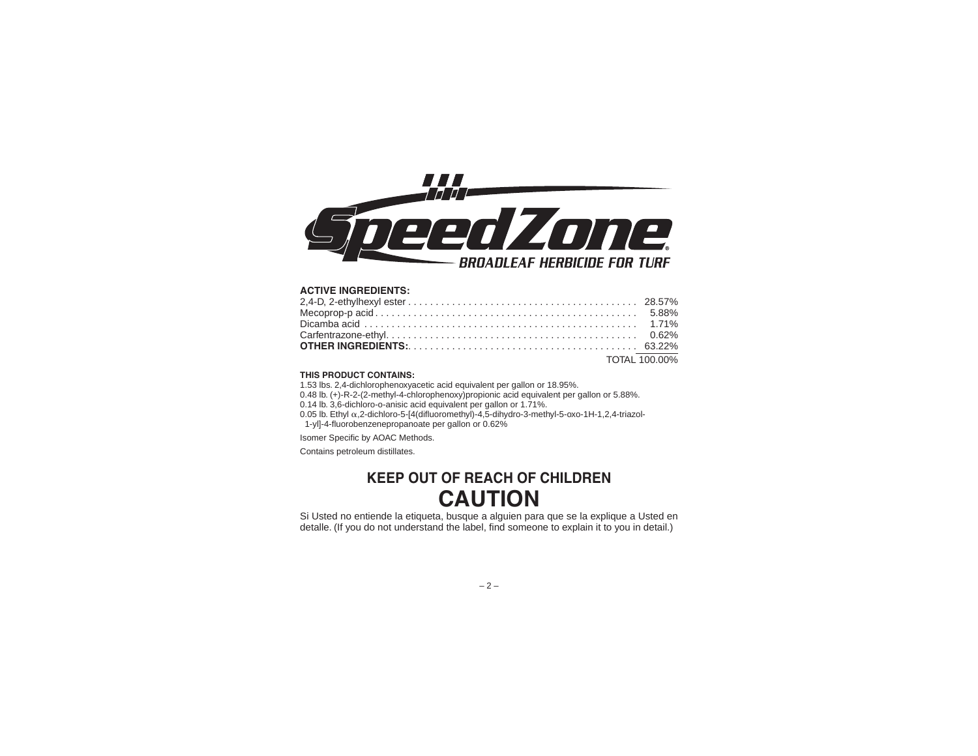

#### **ACTIVE INGREDIENTS:**

| <b>TOTAL 100.00%</b> |
|----------------------|

#### **THIS PRODUCT CONTAINS:**

 1.53 lbs. 2,4-dichlorophenoxyacetic acid equivalent per gallon or 18.95%. 0.48 lb. (+)-R-2-(2-methyl-4-chlorophenoxy)propionic acid equivalent per gallon or 5.88%. 0.14 lb. 3,6-dichloro-o-anisic acid equivalent per gallon or 1.71%. 0.05 lb. Ethyl α,2-dichloro-5-[4(difluoromethyl)-4,5-dihydro-3-methyl-5-oxo-1H-1,2,4-triazol-1-yl]-4-fluorobenzenepropanoate per gallon or 0.62%

Isomer Specific by AOAC Methods.

Contains petroleum distillates.

# **KEEP OUT OF REACH OF CHILDRENCAUTION**

Si Usted no entiende la etiqueta, busque a alguien para que se la explique a Usted en detalle. (If you do not understand the label, find someone to explain it to you in detail.)

– 2 –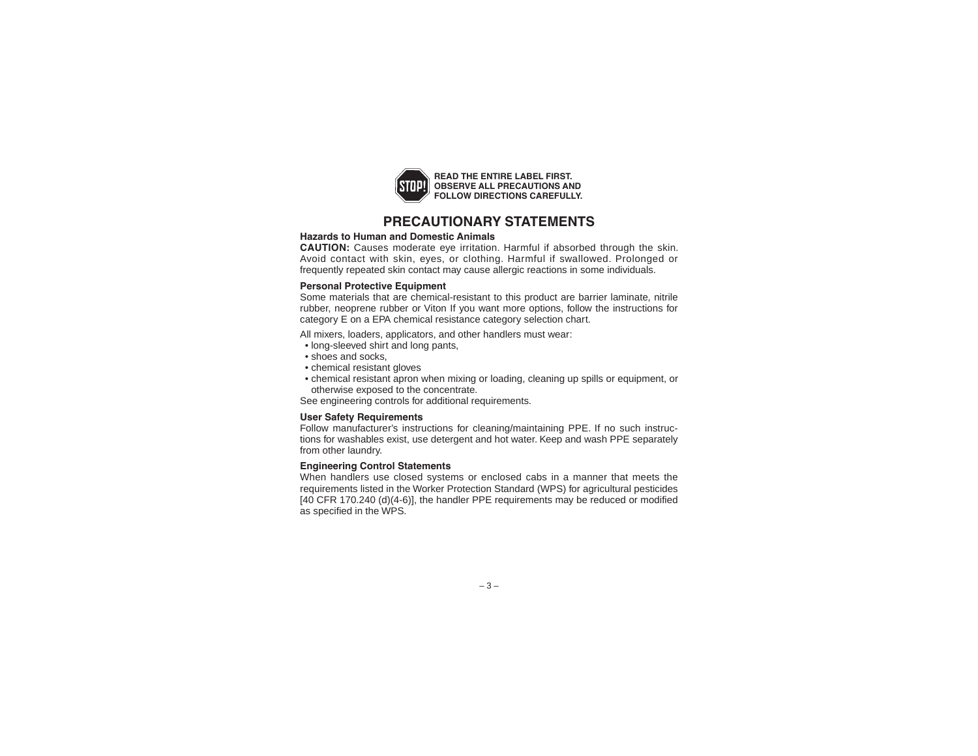

## **PRECAUTIONARY STATEMENTS**

### **Hazards to Human and Domestic Animals**

**CAUTION:** Causes moderate eye irritation. Harmful if absorbed through the skin. Avoid contact with skin, eyes, or clothing. Harmful if swallowed. Prolonged or frequently repeated skin contact may cause allergic reactions in some individuals.

### **Personal Protective Equipment**

Some materials that are chemical-resistant to this product are barrier laminate, nitrile rubber, neoprene rubber or Viton If you want more options, follow the instructions for category E on a EPA chemical resistance category selection chart.

All mixers, loaders, applicators, and other handlers must wear:

- long-sleeved shirt and long pants,
- shoes and socks,
- chemical resistant gloves
- chemical resistant apron when mixing or loading, cleaning up spills or equipment, or otherwise exposed to the concentrate.

See engineering controls for additional requirements.

#### **User Safety Requirements**

Follow manufacturer's instructions for cleaning/maintaining PPE. If no such instructions for washables exist, use detergent and hot water. Keep and wash PPE separately from other laundry.

#### **Engineering Control Statements**

When handlers use closed systems or enclosed cabs in a manner that meets the requirements listed in the Worker Protection Standard (WPS) for agricultural pesticides [40 CFR 170.240 (d)(4-6)], the handler PPE requirements may be reduced or modified as specified in the WPS.

– 3 –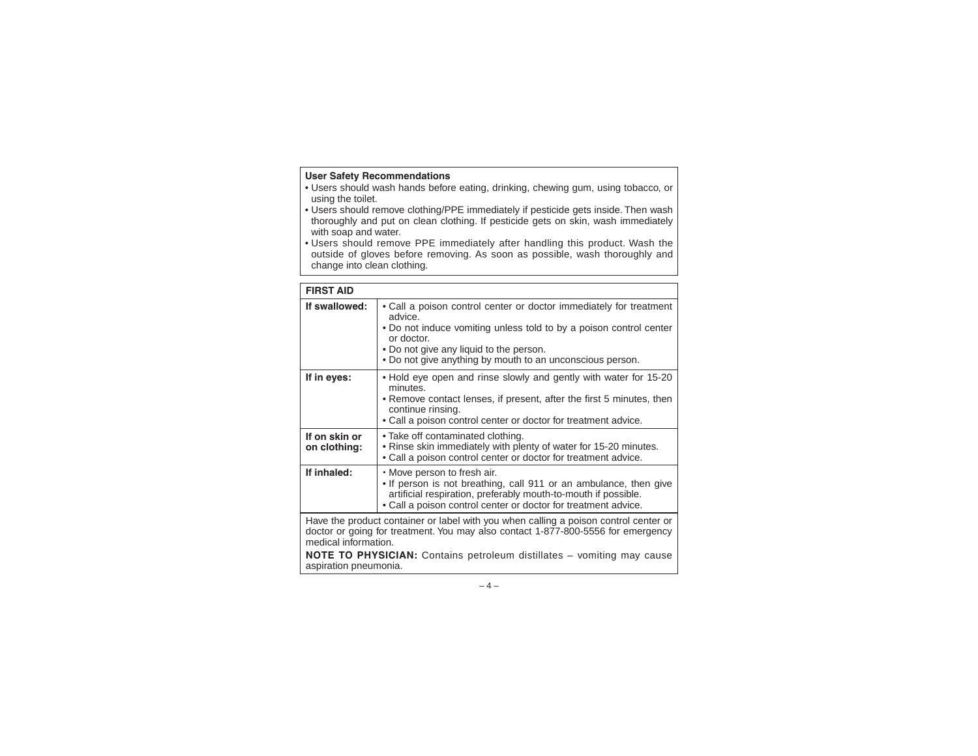#### **User Safety Recommendations**

• Users should wash hands before eating, drinking, chewing gum, using tobacco, or using the toilet.

- Users should remove clothing/PPE immediately if pesticide gets inside. Then wash thoroughly and put on clean clothing. If pesticide gets on skin, wash immediately with soap and water.
- Users should remove PPE immediately after handling this product. Wash the outside of gloves before removing. As soon as possible, wash thoroughly and change into clean clothing.

| <b>FIRST AID</b>              |                                                                                                                                                                                                                                                                           |  |
|-------------------------------|---------------------------------------------------------------------------------------------------------------------------------------------------------------------------------------------------------------------------------------------------------------------------|--|
| If swallowed:                 | • Call a poison control center or doctor immediately for treatment<br>advice.<br>• Do not induce vomiting unless told to by a poison control center<br>or doctor.<br>• Do not give any liquid to the person.<br>. Do not give anything by mouth to an unconscious person. |  |
| If in eyes:                   | • Hold eye open and rinse slowly and gently with water for 15-20<br>minutes.<br>• Remove contact lenses, if present, after the first 5 minutes, then<br>continue rinsing.<br>• Call a poison control center or doctor for treatment advice.                               |  |
| If on skin or<br>on clothing: | • Take off contaminated clothing.<br>. Rinse skin immediately with plenty of water for 15-20 minutes.<br>• Call a poison control center or doctor for treatment advice.                                                                                                   |  |
| If inhaled:                   | • Move person to fresh air.<br>. If person is not breathing, call 911 or an ambulance, then give<br>artificial respiration, preferably mouth-to-mouth if possible.<br>• Call a poison control center or doctor for treatment advice.                                      |  |
|                               | Have the product container or label with you when calling a poison control center or<br>doctor or going for treatment. You may also contact 1-877-800-5556 for emergency<br>medical information.                                                                          |  |
| aspiration pneumonia.         | <b>NOTE TO PHYSICIAN:</b> Contains petroleum distillates – vomiting may cause                                                                                                                                                                                             |  |

– 4 –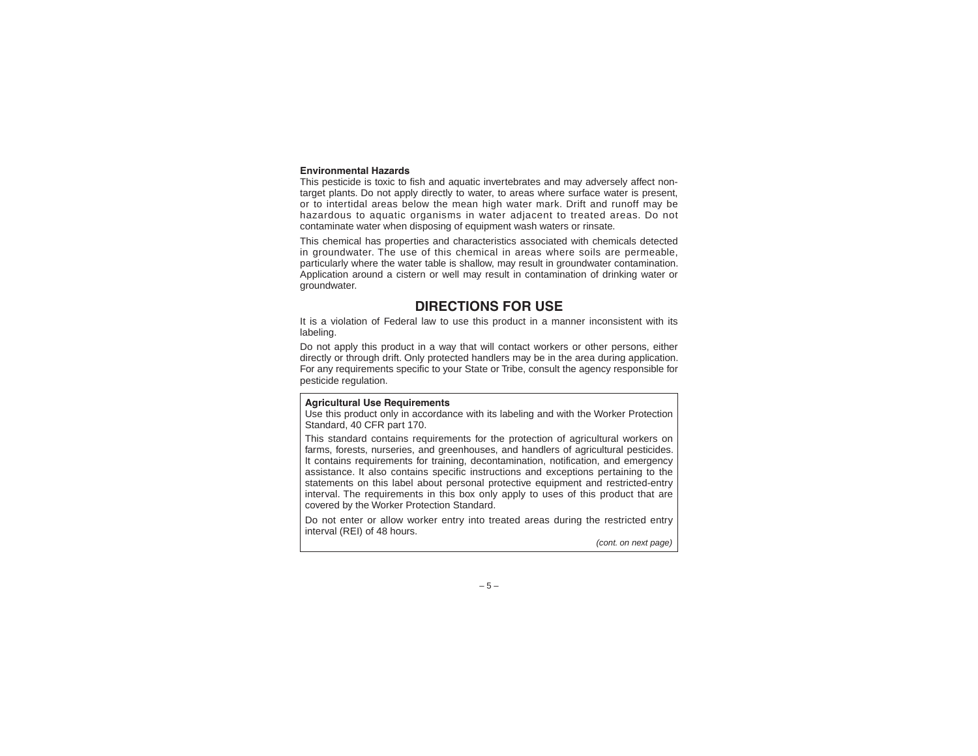#### **Environmental Hazards**

 This pesticide is toxic to fish and aquatic invertebrates and may adversely affect nontarget plants. Do not apply directly to water, to areas where surface water is present, or to intertidal areas below the mean high water mark. Drift and runoff may be hazardous to aquatic organisms in water adjacent to treated areas. Do not contaminate water when disposing of equipment wash waters or rinsate.

This chemical has properties and characteristics associated with chemicals detected in groundwater. The use of this chemical in areas where soils are permeable, particularly where the water table is shallow, may result in groundwater contamination. Application around a cistern or well may result in contamination of drinking water or groundwater.

## **DIRECTIONS FOR USE**

It is a violation of Federal law to use this product in a manner inconsistent with its labeling.

Do not apply this product in a way that will contact workers or other persons, either directly or through drift. Only protected handlers may be in the area during application. For any requirements specific to your State or Tribe, consult the agency responsible for pesticide regulation.

#### **Agricultural Use Requirements**

Use this product only in accordance with its labeling and with the Worker Protection Standard, 40 CFR part 170.

This standard contains requirements for the protection of agricultural workers on farms, forests, nurseries, and greenhouses, and handlers of agricultural pesticides. It contains requirements for training, decontamination, notification, and emergency assistance. It also contains specific instructions and exceptions pertaining to the statements on this label about personal protective equipment and restricted-entry interval. The requirements in this box only apply to uses of this product that are covered by the Worker Protection Standard.

Do not enter or allow worker entry into treated areas during the restricted entry interval (REI) of 48 hours.

*(cont. on next page)*

 $-5-$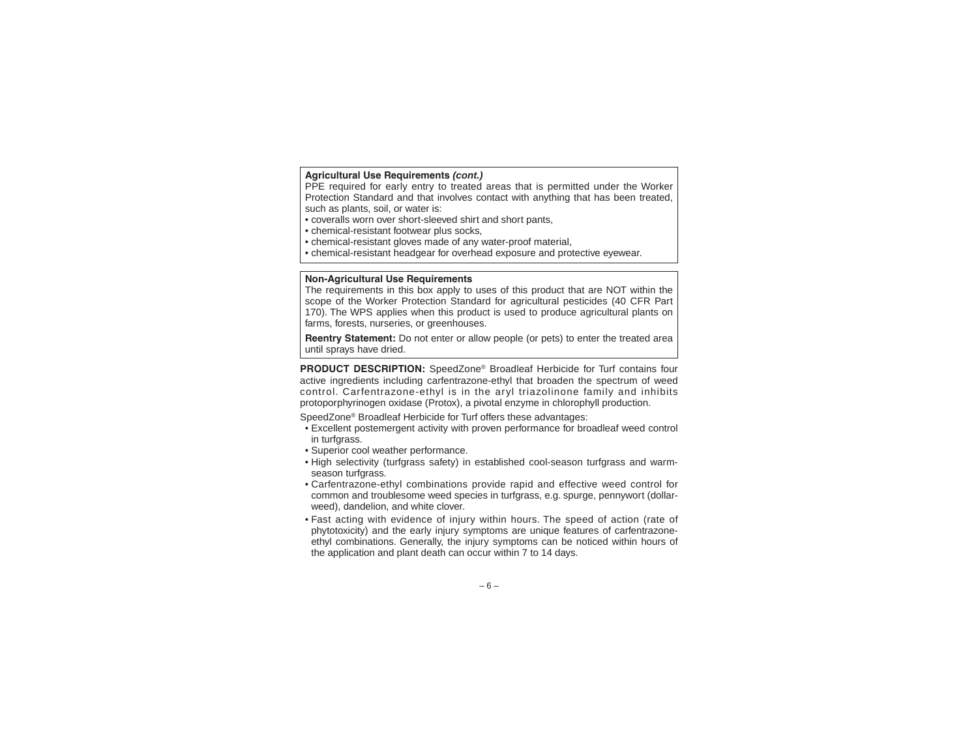#### **Agricultural Use Requirements** *(cont.)*

PPE required for early entry to treated areas that is permitted under the Worker Protection Standard and that involves contact with anything that has been treated, such as plants, soil, or water is:

- coveralls worn over short-sleeved shirt and short pants,
- chemical-resistant footwear plus socks,
- chemical-resistant gloves made of any water-proof material,
- chemical-resistant headgear for overhead exposure and protective eyewear.

#### **Non-Agricultural Use Requirements**

The requirements in this box apply to uses of this product that are NOT within the scope of the Worker Protection Standard for agricultural pesticides (40 CFR Part 170). The WPS applies when this product is used to produce agricultural plants on farms, forests, nurseries, or greenhouses.

**Reentry Statement:** Do not enter or allow people (or pets) to enter the treated area until sprays have dried.

**PRODUCT DESCRIPTION:** SpeedZone® Broadleaf Herbicide for Turf contains four active ingredients including carfentrazone-ethyl that broaden the spectrum of weed control. Carfentrazone-ethyl is in the aryl triazolinone family and inhibits protoporphyrinogen oxidase (Protox), a pivotal enzyme in chlorophyll production.

SpeedZone® Broadleaf Herbicide for Turf offers these advantages:

- Excellent postemergent activity with proven performance for broadleaf weed control in turfgrass.
- Superior cool weather performance.
- High selectivity (turfgrass safety) in established cool-season turfgrass and warmseason turfgrass.
- Carfentrazone-ethyl combinations provide rapid and effective weed control for common and troublesome weed species in turfgrass, e.g. spurge, pennywort (dollarweed), dandelion, and white clover.
- Fast acting with evidence of injury within hours. The speed of action (rate of phytotoxicity) and the early injury symptoms are unique features of carfentrazoneethyl combinations. Generally, the injury symptoms can be noticed within hours of the application and plant death can occur within 7 to 14 days.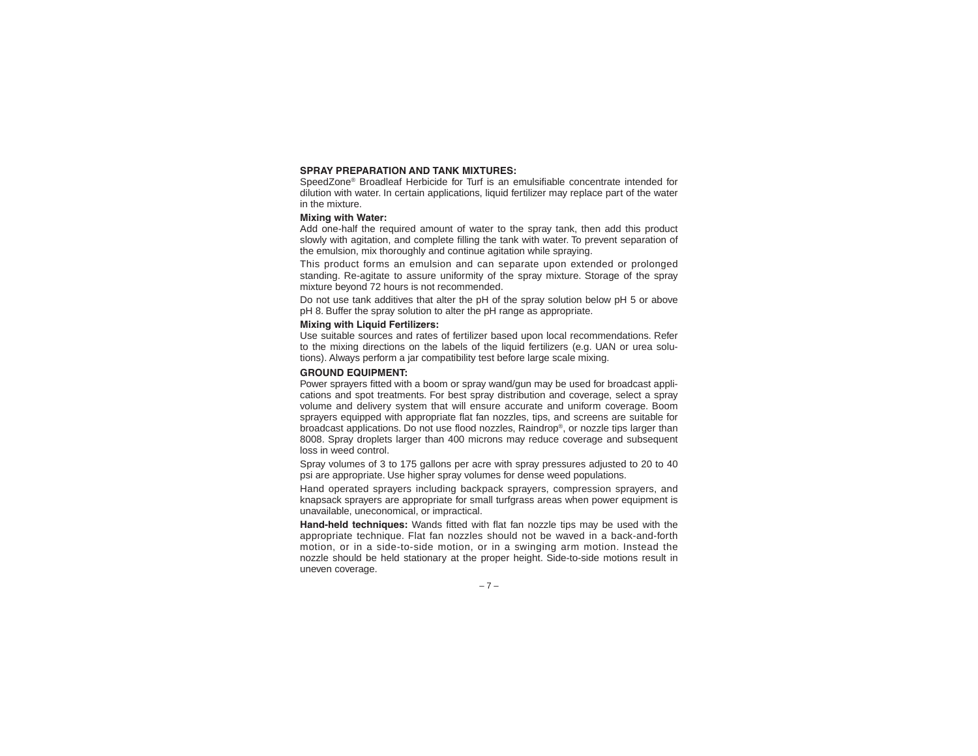### **SPRAY PREPARATION AND TANK MIXTURES:**

SpeedZone® Broadleaf Herbicide for Turf is an emulsifiable concentrate intended for dilution with water. In certain applications, liquid fertilizer may replace part of the water in the mixture.

#### **Mixing with Water:**

Add one-half the required amount of water to the spray tank, then add this product slowly with agitation, and complete filling the tank with water. To prevent separation of the emulsion, mix thoroughly and continue agitation while spraying.

This product forms an emulsion and can separate upon extended or prolonged standing. Re-agitate to assure uniformity of the spray mixture. Storage of the spray mixture beyond 72 hours is not recommended.

Do not use tank additives that alter the pH of the spray solution below pH 5 or above pH 8. Buffer the spray solution to alter the pH range as appropriate.

#### **Mixing with Liquid Fertilizers:**

Use suitable sources and rates of fertilizer based upon local recommendations. Refer to the mixing directions on the labels of the liquid fertilizers (e.g. UAN or urea solutions). Always perform a jar compatibility test before large scale mixing.

#### **GROUND EQUIPMENT:**

Power sprayers fitted with a boom or spray wand/gun may be used for broadcast applications and spot treatments. For best spray distribution and coverage, select a spray volume and delivery system that will ensure accurate and uniform coverage. Boom sprayers equipped with appropriate flat fan nozzles, tips, and screens are suitable for broadcast applications. Do not use flood nozzles, Raindrop®, or nozzle tips larger than 8008. Spray droplets larger than 400 microns may reduce coverage and subsequent loss in weed control.

Spray volumes of 3 to 175 gallons per acre with spray pressures adjusted to 20 to 40 psi are appropriate. Use higher spray volumes for dense weed populations.

Hand operated sprayers including backpack sprayers, compression sprayers, and knapsack sprayers are appropriate for small turfgrass areas when power equipment is unavailable, uneconomical, or impractical.

**Hand-held techniques:** Wands fitted with flat fan nozzle tips may be used with the appropriate technique. Flat fan nozzles should not be waved in a back-and-forth motion, or in a side-to-side motion, or in a swinging arm motion. Instead the nozzle should be held stationary at the proper height. Side-to-side motions result in uneven coverage.

 $-7-$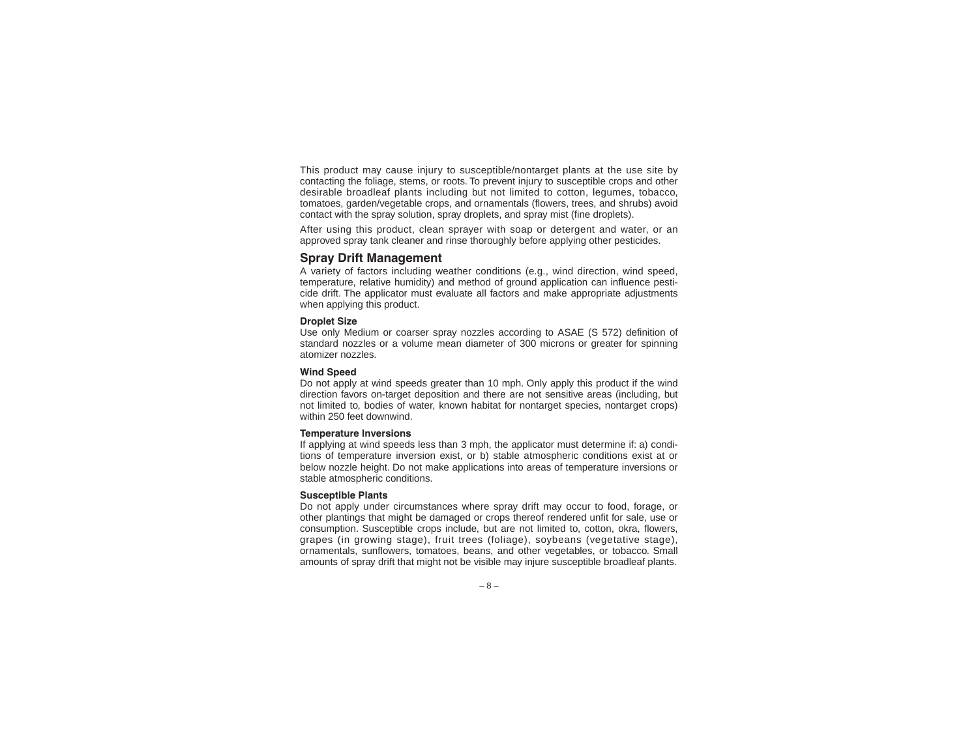This product may cause injury to susceptible/nontarget plants at the use site by contacting the foliage, stems, or roots. To prevent injury to susceptible crops and other desirable broadleaf plants including but not limited to cotton, legumes, tobacco, tomatoes, garden/vegetable crops, and ornamentals (flowers, trees, and shrubs) avoid contact with the spray solution, spray droplets, and spray mist (fine droplets).

After using this product, clean sprayer with soap or detergent and water, or an approved spray tank cleaner and rinse thoroughly before applying other pesticides.

### **Spray Drift Management**

A variety of factors including weather conditions (e.g., wind direction, wind speed, temperature, relative humidity) and method of ground application can influence pesticide drift. The applicator must evaluate all factors and make appropriate adjustments when applying this product.

#### **Droplet Size**

Use only Medium or coarser spray nozzles according to ASAE (S 572) definition of standard nozzles or a volume mean diameter of 300 microns or greater for spinning atomizer nozzles.

#### **Wind Speed**

Do not apply at wind speeds greater than 10 mph. Only apply this product if the wind direction favors on-target deposition and there are not sensitive areas (including, but not limited to, bodies of water, known habitat for nontarget species, nontarget crops) within 250 feet downwind.

#### **Temperature Inversions**

If applying at wind speeds less than 3 mph, the applicator must determine if: a) conditions of temperature inversion exist, or b) stable atmospheric conditions exist at or below nozzle height. Do not make applications into areas of temperature inversions or stable atmospheric conditions.

#### **Susceptible Plants**

Do not apply under circumstances where spray drift may occur to food, forage, or other plantings that might be damaged or crops thereof rendered unfit for sale, use or consumption. Susceptible crops include, but are not limited to, cotton, okra, flowers, grapes (in growing stage), fruit trees (foliage), soybeans (vegetative stage), ornamentals, sunflowers, tomatoes, beans, and other vegetables, or tobacco. Small amounts of spray drift that might not be visible may injure susceptible broadleaf plants.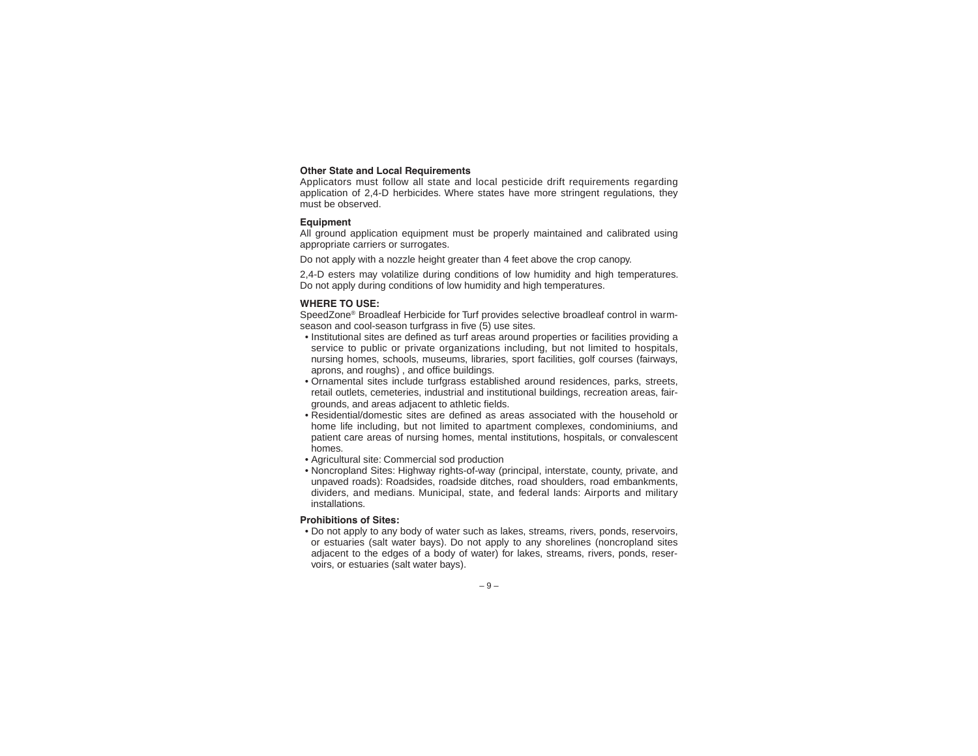#### **Other State and Local Requirements**

Applicators must follow all state and local pesticide drift requirements regarding application of 2,4-D herbicides. Where states have more stringent regulations, they must be observed.

#### **Equipment**

All ground application equipment must be properly maintained and calibrated using appropriate carriers or surrogates.

Do not apply with a nozzle height greater than 4 feet above the crop canopy.

2,4-D esters may volatilize during conditions of low humidity and high temperatures. Do not apply during conditions of low humidity and high temperatures.

#### **WHERE TO USE:**

SpeedZone® Broadleaf Herbicide for Turf provides selective broadleaf control in warmseason and cool-season turfgrass in five (5) use sites.

- Institutional sites are defined as turf areas around properties or facilities providing a service to public or private organizations including, but not limited to hospitals, nursing homes, schools, museums, libraries, sport facilities, golf courses (fairways, aprons, and roughs) , and office buildings.
- Ornamental sites include turfgrass established around residences, parks, streets, retail outlets, cemeteries, industrial and institutional buildings, recreation areas, fairgrounds, and areas adjacent to athletic fields.
- Residential/domestic sites are defined as areas associated with the household orhome life including, but not limited to apartment complexes, condominiums, and patient care areas of nursing homes, mental institutions, hospitals, or convalescent homes.
- Agricultural site: Commercial sod production
- Noncropland Sites: Highway rights-of-way (principal, interstate, county, private, and unpaved roads): Roadsides, roadside ditches, road shoulders, road embankments, dividers, and medians. Municipal, state, and federal lands: Airports and military installations.

#### **Prohibitions of Sites:**

• Do not apply to any body of water such as lakes, streams, rivers, ponds, reservoirs, or estuaries (salt water bays). Do not apply to any shorelines (noncropland sites adjacent to the edges of a body of water) for lakes, streams, rivers, ponds, reservoirs, or estuaries (salt water bays).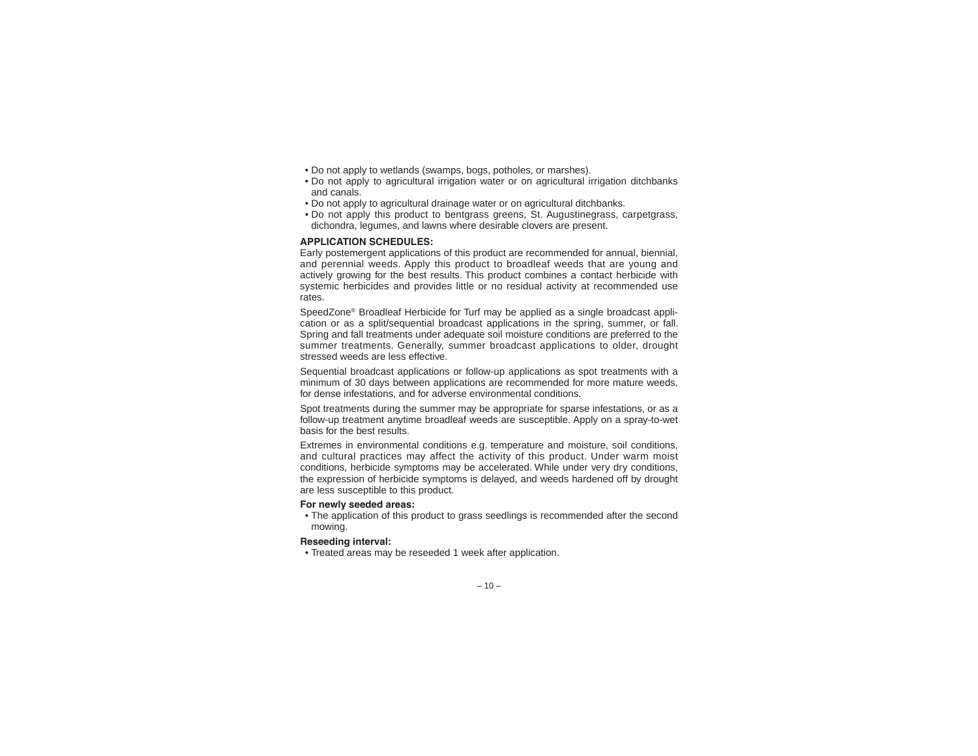- Do not apply to wetlands (swamps, bogs, potholes, or marshes).
- Do not apply to agricultural irrigation water or on agricultural irrigation ditchbanks and canals.
- Do not apply to agricultural drainage water or on agricultural ditchbanks.
- Do not apply this product to bentgrass greens, St. Augustinegrass, carpetgrass, dichondra, legumes, and lawns where desirable clovers are present.

#### **APPLICATION SCHEDULES:**

Early postemergent applications of this product are recommended for annual, biennial, and perennial weeds. Apply this product to broadleaf weeds that are young and actively growing for the best results. This product combines a contact herbicide with systemic herbicides and provides little or no residual activity at recommended use rates.

SpeedZone® Broadleaf Herbicide for Turf may be applied as a single broadcast application or as a split/sequential broadcast applications in the spring, summer, or fall. Spring and fall treatments under adequate soil moisture conditions are preferred to the summer treatments. Generally, summer broadcast applications to older, drought stressed weeds are less effective.

Sequential broadcast applications or follow-up applications as spot treatments with a minimum of 30 days between applications are recommended for more mature weeds, for dense infestations, and for adverse environmental conditions.

Spot treatments during the summer may be appropriate for sparse infestations, or as a follow-up treatment anytime broadleaf weeds are susceptible. Apply on a spray-to-wet basis for the best results.

Extremes in environmental conditions e.g. temperature and moisture, soil conditions, and cultural practices may affect the activity of this product. Under warm moist conditions, herbicide symptoms may be accelerated. While under very dry conditions, the expression of herbicide symptoms is delayed, and weeds hardened off by drought are less susceptible to this product.

#### **For newly seeded areas:**

• The application of this product to grass seedlings is recommended after the second mowing.

#### **Reseeding interval:**

• Treated areas may be reseeded 1 week after application.

#### $-10-$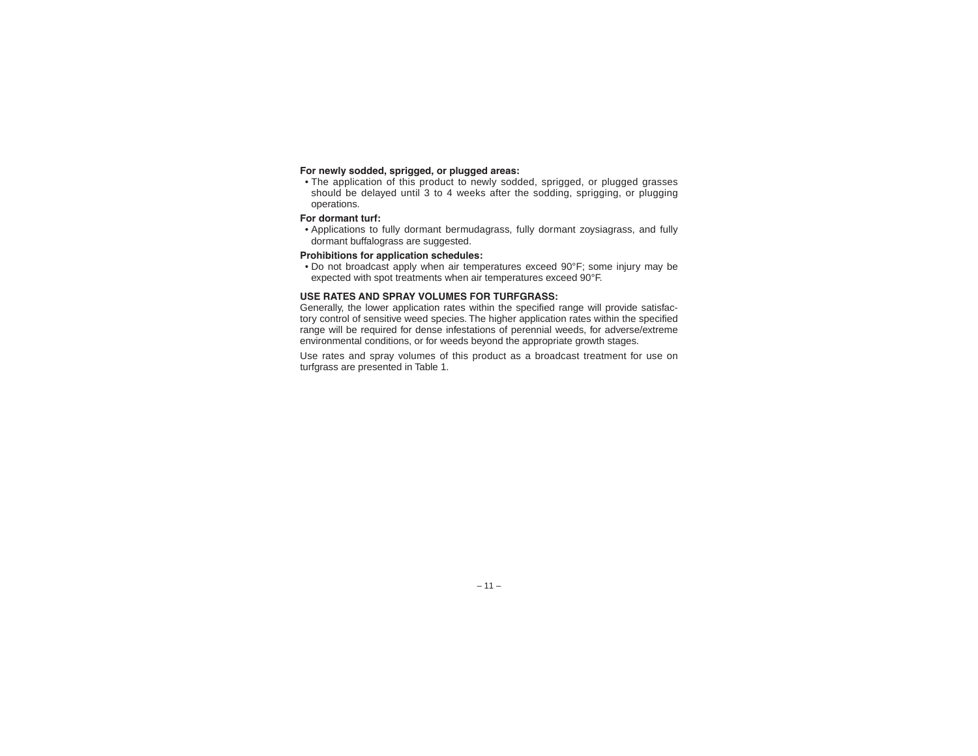### **For newly sodded, sprigged, or plugged areas:**

• The application of this product to newly sodded, sprigged, or plugged grasses should be delayed until 3 to 4 weeks after the sodding, sprigging, or plugging operations.

#### **For dormant turf:**

 • Applications to fully dormant bermudagrass, fully dormant zoysiagrass, and fully dormant buffalograss are suggested.

#### **Prohibitions for application schedules:**

• Do not broadcast apply when air temperatures exceed 90°F; some injury may be expected with spot treatments when air temperatures exceed 90°F.

#### **USE RATES AND SPRAY VOLUMES FOR TURFGRASS:**

Generally, the lower application rates within the specified range will provide satisfactory control of sensitive weed species. The higher application rates within the specified range will be required for dense infestations of perennial weeds, for adverse/extreme environmental conditions, or for weeds beyond the appropriate growth stages.

Use rates and spray volumes of this product as a broadcast treatment for use on turfgrass are presented in Table 1.

 $-11-$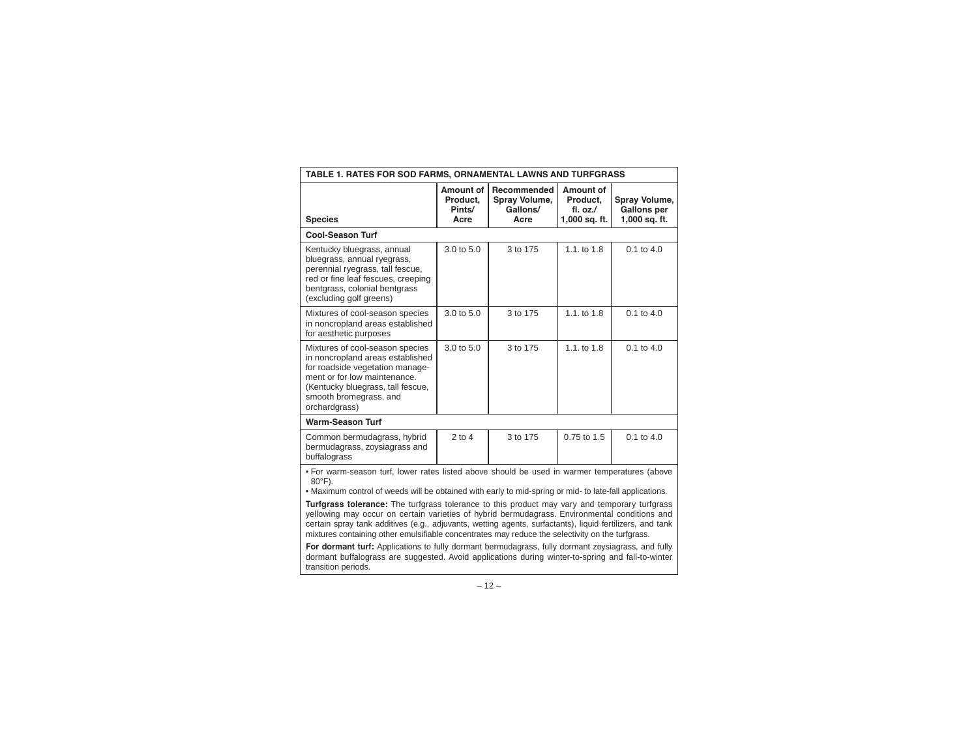| TABLE 1. RATES FOR SOD FARMS, ORNAMENTAL LAWNS AND TURFGRASS                                                                                                                                                                                                                                                                                                                                                    |                                         |                                                  |                                                      |                                                      |
|-----------------------------------------------------------------------------------------------------------------------------------------------------------------------------------------------------------------------------------------------------------------------------------------------------------------------------------------------------------------------------------------------------------------|-----------------------------------------|--------------------------------------------------|------------------------------------------------------|------------------------------------------------------|
| <b>Species</b>                                                                                                                                                                                                                                                                                                                                                                                                  | Amount of<br>Product,<br>Pints/<br>Acre | Recommended<br>Spray Volume,<br>Gallons/<br>Acre | Amount of<br>Product,<br>fl. $oz$ .<br>1,000 sq. ft. | Spray Volume,<br><b>Gallons</b> per<br>1,000 sq. ft. |
| <b>Cool-Season Turf</b>                                                                                                                                                                                                                                                                                                                                                                                         |                                         |                                                  |                                                      |                                                      |
| Kentucky bluegrass, annual<br>bluegrass, annual ryegrass,<br>perennial ryegrass, tall fescue,<br>red or fine leaf fescues, creeping<br>bentgrass, colonial bentgrass<br>(excluding golf greens)                                                                                                                                                                                                                 | 3.0 to 5.0                              | 3 to 175                                         | $1.1.$ to $1.8$                                      | $0.1$ to $4.0$                                       |
| Mixtures of cool-season species<br>in noncropland areas established<br>for aesthetic purposes                                                                                                                                                                                                                                                                                                                   | 3.0 to 5.0                              | 3 to 175                                         | 1.1. to 1.8                                          | 0.1 to 4.0                                           |
| Mixtures of cool-season species<br>in noncropland areas established<br>for roadside vegetation manage-<br>ment or for low maintenance.<br>(Kentucky bluegrass, tall fescue,<br>smooth bromegrass, and<br>orchardgrass)                                                                                                                                                                                          | $3.0 \text{ to } 5.0$                   | 3 to 175                                         | $1.1.$ to $1.8$                                      | $0.1$ to $4.0$                                       |
| <b>Warm-Season Turf</b>                                                                                                                                                                                                                                                                                                                                                                                         |                                         |                                                  |                                                      |                                                      |
| Common bermudagrass, hybrid<br>bermudagrass, zoysiagrass and<br>buffalograss                                                                                                                                                                                                                                                                                                                                    | $2$ to $4$                              | 3 to 175                                         | 0.75 to 1.5                                          | $0.1$ to $4.0$                                       |
| . For warm-season turf, lower rates listed above should be used in warmer temperatures (above<br>80°F).<br>. Maximum control of weeds will be obtained with early to mid-spring or mid- to late-fall applications.                                                                                                                                                                                              |                                         |                                                  |                                                      |                                                      |
| Turfgrass tolerance: The turfgrass tolerance to this product may vary and temporary turfgrass<br>yellowing may occur on certain varieties of hybrid bermudagrass. Environmental conditions and<br>certain spray tank additives (e.g., adjuvants, wetting agents, surfactants), liquid fertilizers, and tank<br>mixtures containing other emulsifiable concentrates may reduce the selectivity on the turfgrass. |                                         |                                                  |                                                      |                                                      |
| For dormant turf: Applications to fully dormant bermudagrass, fully dormant zoysiagrass, and fully<br>dormant buffalograss are suggested. Avoid applications during winter-to-spring and fall-to-winter<br>transition periods.                                                                                                                                                                                  |                                         |                                                  |                                                      |                                                      |

– 12 –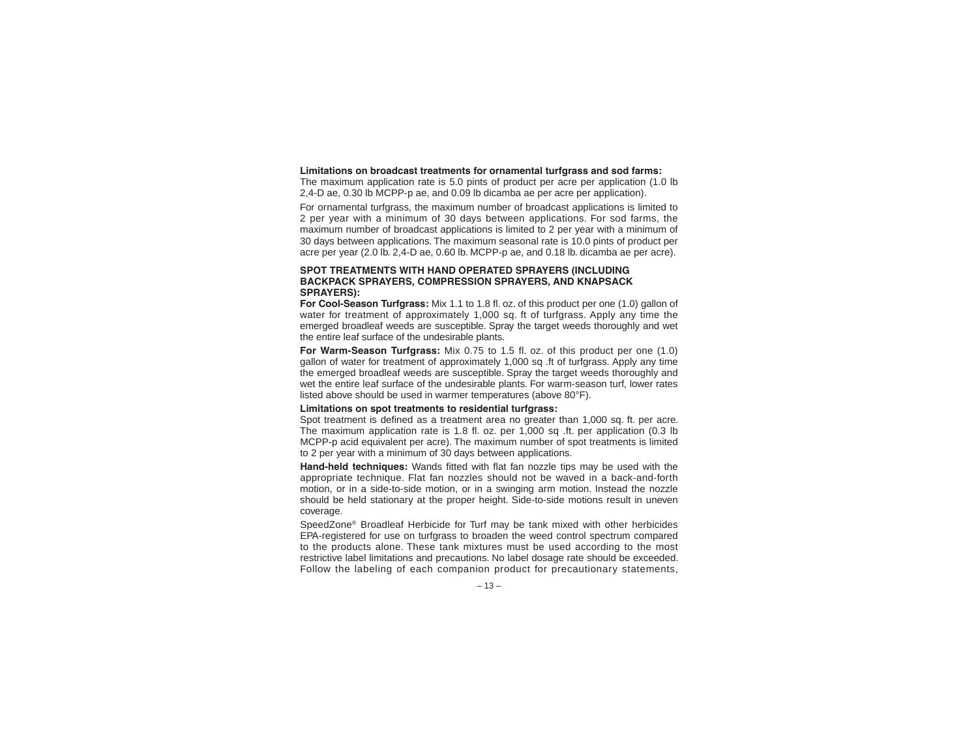#### **Limitations on broadcast treatments for ornamental turfgrass and sod farms:**

The maximum application rate is 5.0 pints of product per acre per application (1.0 lb 2,4-D ae, 0.30 lb MCPP-p ae, and 0.09 lb dicamba ae per acre per application).

For ornamental turfgrass, the maximum number of broadcast applications is limited to 2 per year with a minimum of 30 days between applications. For sod farms, the maximum number of broadcast applications is limited to 2 per year with a minimum of 30 days between applications. The maximum seasonal rate is 10.0 pints of product per acre per year (2.0 lb. 2,4-D ae, 0.60 lb. MCPP-p ae, and 0.18 lb. dicamba ae per acre).

#### **SPOT TREATMENTS WITH HAND OPERATED SPRAYERS (INCLUDING BACKPACK SPRAYERS, COMPRESSION SPRAYERS, AND KNAPSACK SPRAYERS):**

**For Cool-Season Turfgrass:** Mix 1.1 to 1.8 fl. oz. of this product per one (1.0) gallon of water for treatment of approximately 1,000 sq. ft of turfgrass. Apply any time the emerged broadleaf weeds are susceptible. Spray the target weeds thoroughly and wet the entire leaf surface of the undesirable plants.

**For Warm-Season Turfgrass:** Mix 0.75 to 1.5 fl. oz. of this product per one (1.0) gallon of water for treatment of approximately 1,000 sq .ft of turfgrass. Apply any time the emerged broadleaf weeds are susceptible. Spray the target weeds thoroughly and wet the entire leaf surface of the undesirable plants. For warm-season turf, lower rates listed above should be used in warmer temperatures (above 80°F).

#### **Limitations on spot treatments to residential turfgrass:**

Spot treatment is defined as a treatment area no greater than 1,000 sq. ft. per acre. The maximum application rate is 1.8 fl. oz. per 1,000 sq .ft. per application  $(0.3 \text{ lb})$ MCPP-p acid equivalent per acre). The maximum number of spot treatments is limited to 2 per year with a minimum of 30 days between applications.

**Hand-held techniques:** Wands fitted with flat fan nozzle tips may be used with the appropriate technique. Flat fan nozzles should not be waved in a back-and-forth motion, or in a side-to-side motion, or in a swinging arm motion. Instead the nozzle should be held stationary at the proper height. Side-to-side motions result in uneven coverage.

SpeedZone® Broadleaf Herbicide for Turf may be tank mixed with other herbicides EPA-registered for use on turfgrass to broaden the weed control spectrum compared to the products alone. These tank mixtures must be used according to the most restrictive label limitations and precautions. No label dosage rate should be exceeded. Follow the labeling of each companion product for precautionary statements,

 $-13-$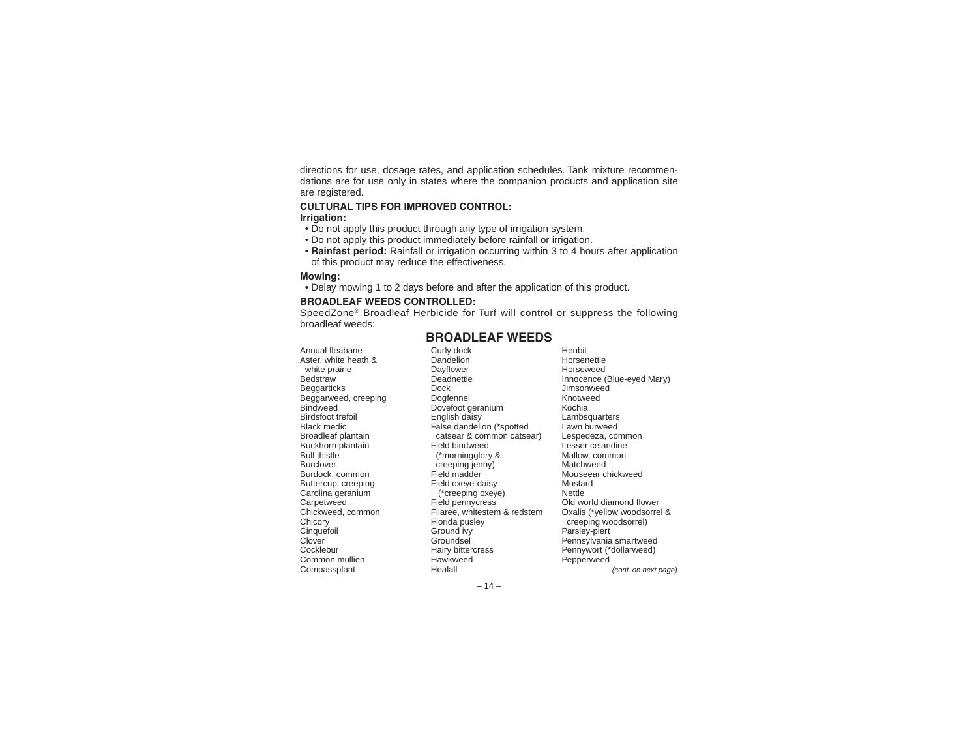directions for use, dosage rates, and application schedules. Tank mixture recommendations are for use only in states where the companion products and application site are registered.

## **CULTURAL TIPS FOR IMPROVED CONTROL:**

### **Irrigation:**

- Do not apply this product through any type of irrigation system.
- Do not apply this product immediately before rainfall or irrigation.
- **Rainfast period:** Rainfall or irrigation occurring within 3 to 4 hours after application of this product may reduce the effectiveness.

#### **Mowing:**

• Delay mowing 1 to 2 days before and after the application of this product.

#### **BROADLEAF WEEDS CONTROLLED:**

SpeedZone® Broadleaf Herbicide for Turf will control or suppress the following broadleaf weeds:

| Annual fleabane      | Curly dock                   | Henbit                       |
|----------------------|------------------------------|------------------------------|
| Aster, white heath & | Dandelion                    | Horsenettle                  |
| white prairie        | Dayflower                    | Horseweed                    |
| <b>Bedstraw</b>      | Deadnettle                   | Innocence (Blue-eyed Mary)   |
| <b>Beggarticks</b>   | Dock                         | Jimsonweed                   |
| Beggarweed, creeping | Dogfennel                    | Knotweed                     |
| <b>Bindweed</b>      | Dovefoot geranium            | Kochia                       |
| Birdsfoot trefoil    | English daisy                | Lambsquarters                |
| <b>Black medic</b>   | False dandelion (*spotted    | Lawn burweed                 |
| Broadleaf plantain   | catsear & common catsear)    | Lespedeza, common            |
| Buckhorn plantain    | Field bindweed               | Lesser celandine             |
| <b>Bull thistle</b>  | (*morningglory &             | Mallow, common               |
| <b>Burclover</b>     | creeping jenny)              | Matchweed                    |
| Burdock, common      | Field madder                 | Mouseear chickweed           |
| Buttercup, creeping  | Field oxeye-daisy            | Mustard                      |
| Carolina geranium    | (*creeping oxeye)            | Nettle                       |
| Carpetweed           | Field pennycress             | Old world diamond flower     |
| Chickweed, common    | Filaree, whitestem & redstem | Oxalis (*yellow woodsorrel & |
| Chicory              | Florida pusley               | creeping woodsorrel)         |
| Cinquefoil           | Ground ivy                   | Parsley-piert                |
| Clover               | Groundsel                    | Pennsylvania smartweed       |
| Cocklebur            | Hairy bittercress            | Pennywort (*dollarweed)      |
| Common mullien       | Hawkweed                     | Pepperweed                   |
| Compassplant         | Healall                      | (cont. on next page)         |

### **BROADLEAF WEEDS**

– 14 –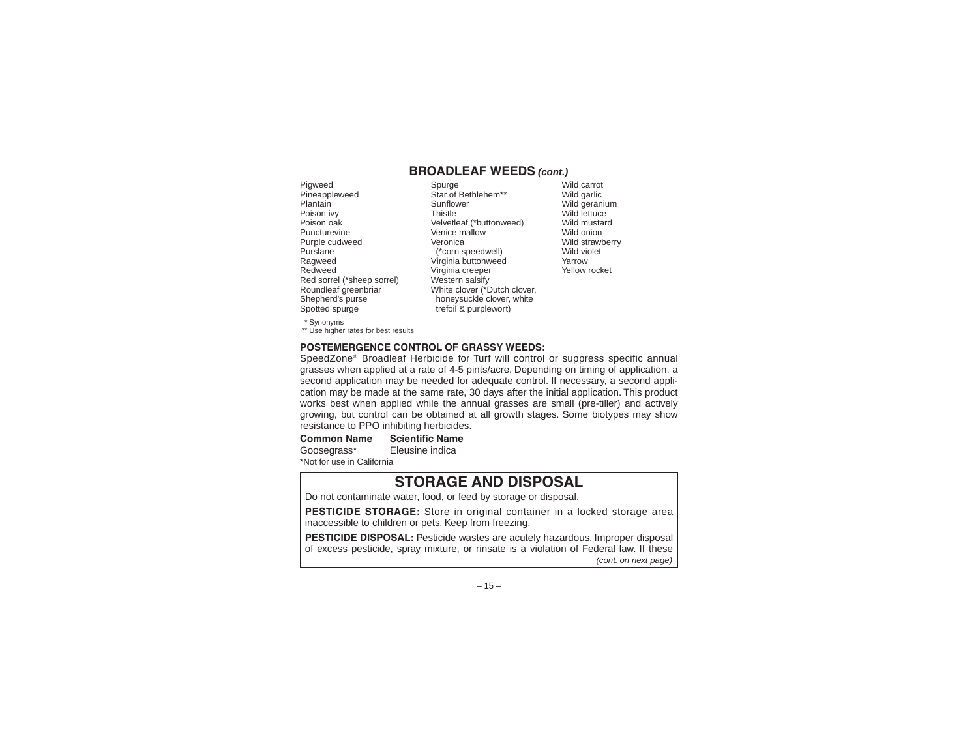#### **BROADLEAF WEEDS** *(cont.)*

| Spurge                       | Wild carrot                                  |
|------------------------------|----------------------------------------------|
| Star of Bethlehem**          | Wild garlic                                  |
| Sunflower                    | Wild geranium                                |
| Thistle                      | Wild lettuce                                 |
| Velvetleaf (*buttonweed)     | Wild mustard                                 |
| Venice mallow                | Wild onion                                   |
| Veronica                     | Wild strawberry                              |
| (*corn speedwell)            | Wild violet                                  |
|                              | Yarrow                                       |
| Virginia creeper             | Yellow rocket                                |
| Western salsify              |                                              |
| White clover (*Dutch clover, |                                              |
| honeysuckle clover, white    |                                              |
|                              |                                              |
|                              | Virginia buttonweed<br>trefoil & purplewort) |

 \* Synonyms \*\* Use higher rates for best results

**POSTEMERGENCE CONTROL OF GRASSY WEEDS:**

SpeedZone® Broadleaf Herbicide for Turf will control or suppress specific annual grasses when applied at a rate of 4-5 pints/acre. Depending on timing of application, a second application may be needed for adequate control. If necessary, a second application may be made at the same rate, 30 days after the initial application. This product works best when applied while the annual grasses are small (pre-tiller) and actively growing, but control can be obtained at all growth stages. Some biotypes may show resistance to PPO inhibiting herbicides.

**Common Name Scientific Name** 

Goosegrass\* Eleusine indica

\*Not for use in California

## **STORAGE AND DISPOSAL**

Do not contaminate water, food, or feed by storage or disposal.

**PESTICIDE STORAGE:** Store in original container in a locked storage area inaccessible to children or pets. Keep from freezing.

*(cont. on next page)* **PESTICIDE DISPOSAL:** Pesticide wastes are acutely hazardous. Improper disposal of excess pesticide, spray mixture, or rinsate is a violation of Federal law. If these

 $-15-$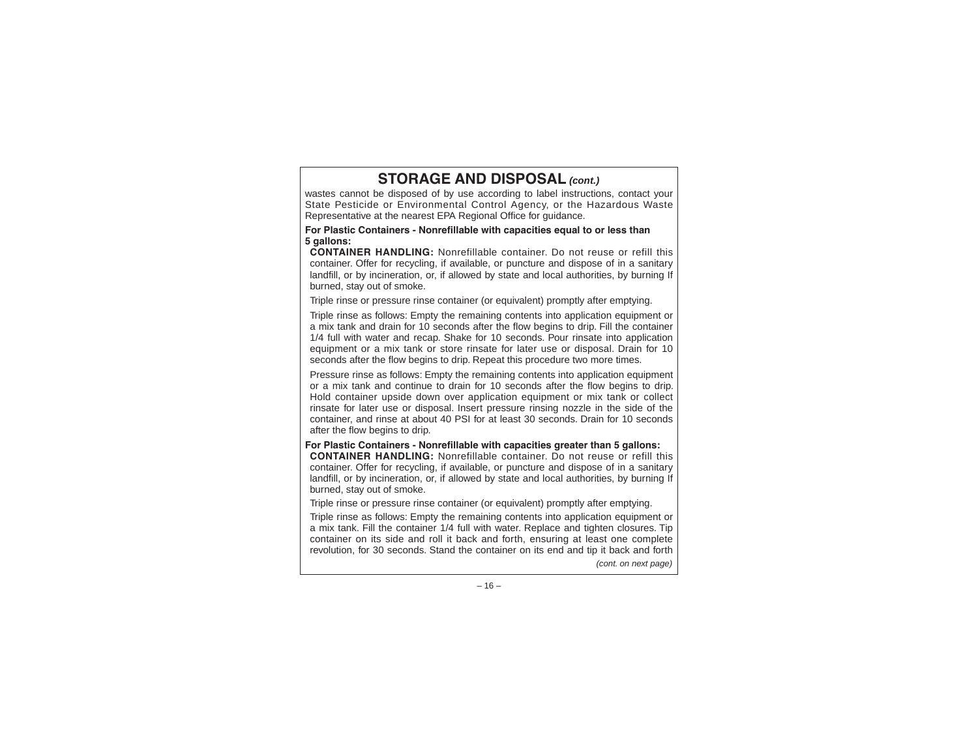## **STORAGE AND DISPOSAL** *(cont.)*

wastes cannot be disposed of by use according to label instructions, contact your State Pesticide or Environmental Control Agency, or the Hazardous Waste Representative at the nearest EPA Regional Office for guidance.

**For Plastic Containers - Nonrefillable with capacities equal to or less than 5 gallons:**

**CONTAINER HANDLING:** Nonrefillable container. Do not reuse or refill this container. Offer for recycling, if available, or puncture and dispose of in a sanitary landfill, or by incineration, or, if allowed by state and local authorities, by burning If burned, stay out of smoke.

Triple rinse or pressure rinse container (or equivalent) promptly after emptying.

Triple rinse as follows: Empty the remaining contents into application equipment or a mix tank and drain for 10 seconds after the flow begins to drip. Fill the container 1/4 full with water and recap. Shake for 10 seconds. Pour rinsate into application equipment or a mix tank or store rinsate for later use or disposal. Drain for 10 seconds after the flow begins to drip. Repeat this procedure two more times.

Pressure rinse as follows: Empty the remaining contents into application equipment or a mix tank and continue to drain for 10 seconds after the flow begins to drip. Hold container upside down over application equipment or mix tank or collect rinsate for later use or disposal. Insert pressure rinsing nozzle in the side of the con tainer, and rinse at about 40 PSI for at least 30 seconds. Drain for 10 seconds after the flow begins to drip.

**For Plastic Containers - Nonrefillable with capacities greater than 5 gallons: CONTAINER HANDLING:** Nonrefillable container. Do not reuse or refill this container. Offer for recycling, if available, or puncture and dispose of in a sanitary landfill, or by incineration, or, if allowed by state and local authorities, by burning If burned, stay out of smoke.

Triple rinse or pressure rinse container (or equivalent) promptly after emptying.

Triple rinse as follows: Empty the remaining contents into application equipment or a mix tank. Fill the container 1/4 full with water. Replace and tighten closures. Tip container on its side and roll it back and forth, ensuring at least one complete revolution, for 30 seconds. Stand the container on its end and tip it back and forth *(cont. on next page)*

 $-16-$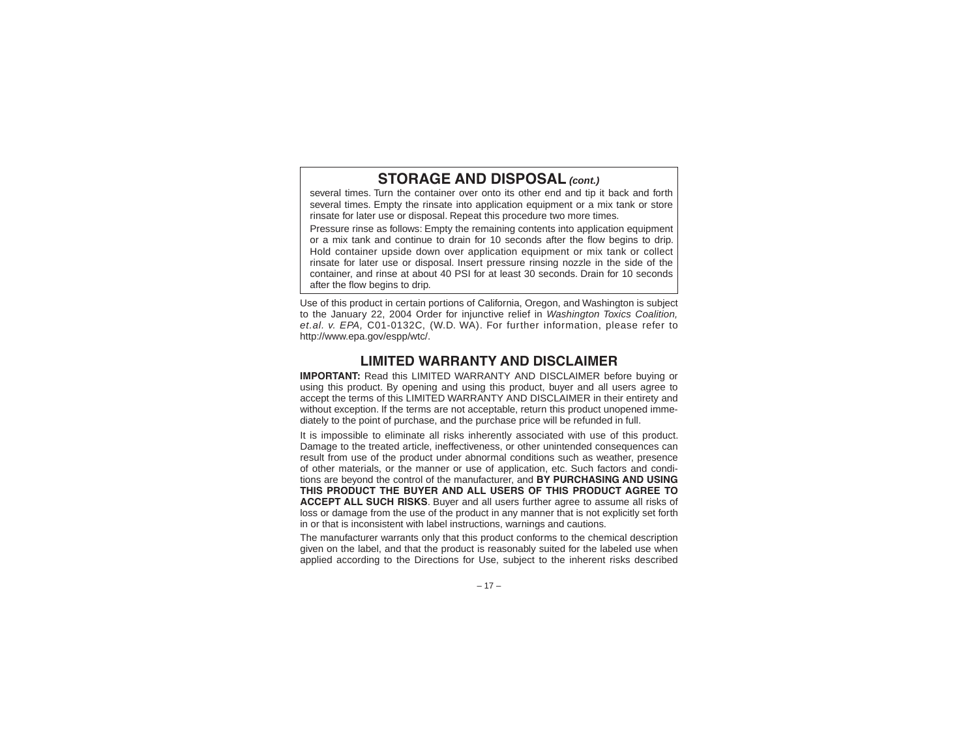### **STORAGE AND DISPOSAL** *(cont.)*

several times. Turn the container over onto its other end and tip it back and forth several times. Empty the rinsate into application equipment or a mix tank or store rinsate for later use or disposal. Repeat this procedure two more times.

Pressure rinse as follows: Empty the remaining contents into application equipment or a mix tank and continue to drain for 10 seconds after the flow begins to drip. Hold container upside down over application equipment or mix tank or collect rinsate for later use or disposal. Insert pressure rinsing nozzle in the side of the container, and rinse at about 40 PSI for at least 30 seconds. Drain for 10 seconds after the flow begins to drip.

Use of this product in certain portions of California, Oregon, and Washington is subject to the January 22, 2004 Order for injunctive relief in *Washington Toxics Coalition, et.al. v. EPA,* C01-0132C, (W.D. WA). For further information, please refer to http://www.epa.gov/espp/wtc/.

## **LIMITED WARRANTY AND DISCLAIMER**

**IMPORTANT:** Read this LIMITED WARRANTY AND DISCLAIMER before buying or using this product. By opening and using this product, buyer and all users agree to accept the terms of this LIMITED WARRANTY AND DISCLAIMER in their entirety and without exception. If the terms are not acceptable, return this product unopened immediately to the point of purchase, and the purchase price will be refunded in full.

It is impossible to eliminate all risks inherently associated with use of this product. Damage to the treated article, ineffectiveness, or other unintended consequences can result from use of the product under abnormal conditions such as weather, presence of other materials, or the manner or use of application, etc. Such factors and conditions are beyond the control of the manufacturer, and **BY PURCHASING AND USING THIS PRODUCT THE BUYER AND ALL USERS OF THIS PRODUCT AGREE TO ACCEPT ALL SUCH RISKS**. Buyer and all users further agree to assume all risks of loss or damage from the use of the product in any manner that is not explicitly set forth in or that is inconsistent with label instructions, warnings and cautions.

The manufacturer warrants only that this product conforms to the chemical description given on the label, and that the product is reasonably suited for the labeled use when applied according to the Directions for Use, subject to the inherent risks described

– 17 –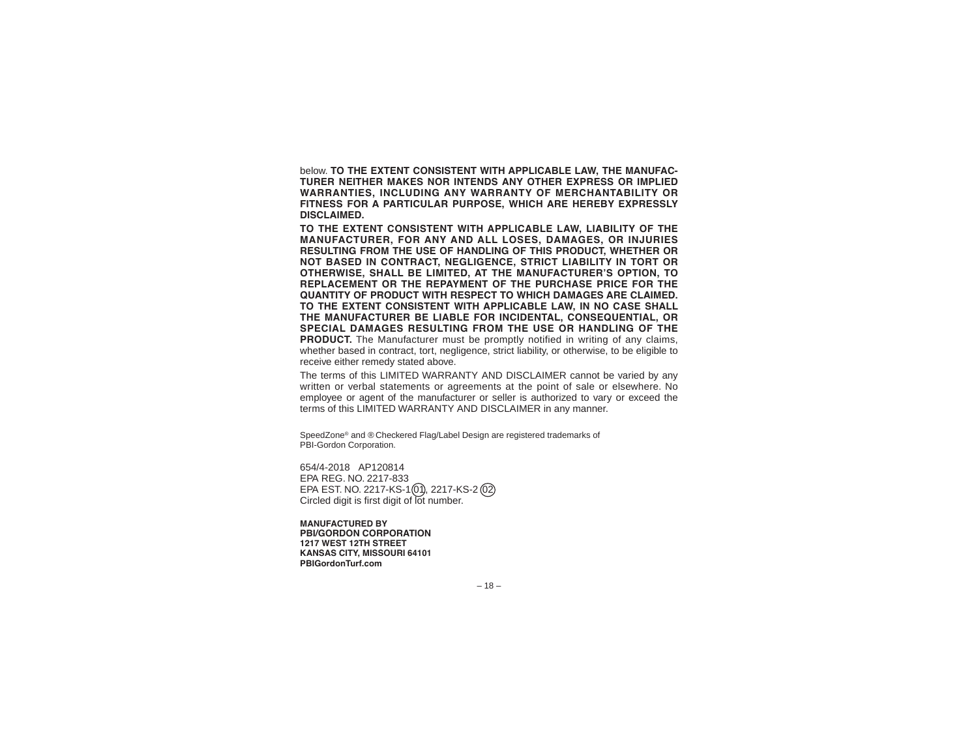below. **TO THE EXTENT CONSISTENT WITH APPLICABLE LAW, THE MANUFAC-TURER NEITHER MAKES NOR INTENDS ANY OTHER EXPRESS OR IMPLIED WARRANTIES, INCLUDING ANY WARRANTY OF MERCHANTABILITY OR FITNESS FOR A PARTICULAR PURPOSE, WHICH ARE HEREBY EXPRESSLY DISCLAIMED.**

**TO THE EXTENT CONSISTENT WITH APPLICABLE LAW, LIABILITY OF THE MANUFACTURER, FOR ANY AND ALL LOSES, DAMAGES, OR INJURIES RESULTING FROM THE USE OF HANDLING OF THIS PRODUCT, WHETHER OR NOT BASED IN CONTRACT, NEGLIGENCE, STRICT LIABILITY IN TORT OR OTHERWISE, SHALL BE LIMITED, AT THE MANUFACTURER'S OPTION, TO REPLACEMENT OR THE REPAYMENT OF THE PURCHASE PRICE FOR THEQUANTITY OF PRODUCT WITH RESPECT TO WHICH DAMAGES ARE CLAIMED. TO THE EXTENT CONSISTENT WITH APPLICABLE LAW, IN NO CASE SHALL THE MANUFACTURER BE LIABLE FOR INCIDENTAL, CONSEQUENTIAL, OR SPECIAL DAMAGES RESULTING FROM THE USE OR HANDLING OF THE PRODUCT.** The Manufacturer must be promptly notified in writing of any claims, whether based in contract, tort, negligence, strict liability, or otherwise, to be eligible to receive either remedy stated above.

The terms of this LIMITED WARRANTY AND DISCLAIMER cannot be varied by any written or verbal statements or agreements at the point of sale or elsewhere. No employee or agent of the manufacturer or seller is authorized to vary or exceed the terms of this LIMITED WARRANTY AND DISCLAIMER in any manner.

SpeedZone® and ® Checkered Flag/Label Design are registered trademarks of PBI-Gordon Corporation.

654/4-2018 AP120814 EPA REG. NO. 2217-833 EPA EST. NO. 2217-KS-1 01, 2217-KS-2 02 Circled digit is first digit of lot number.

**MANUFACTURED BY PBI/GORDON CORPORATION 1217 WEST 12TH STREET KANSAS CITY, MISSOURI 64101 PBIGordonTurf.com**

 $-18-$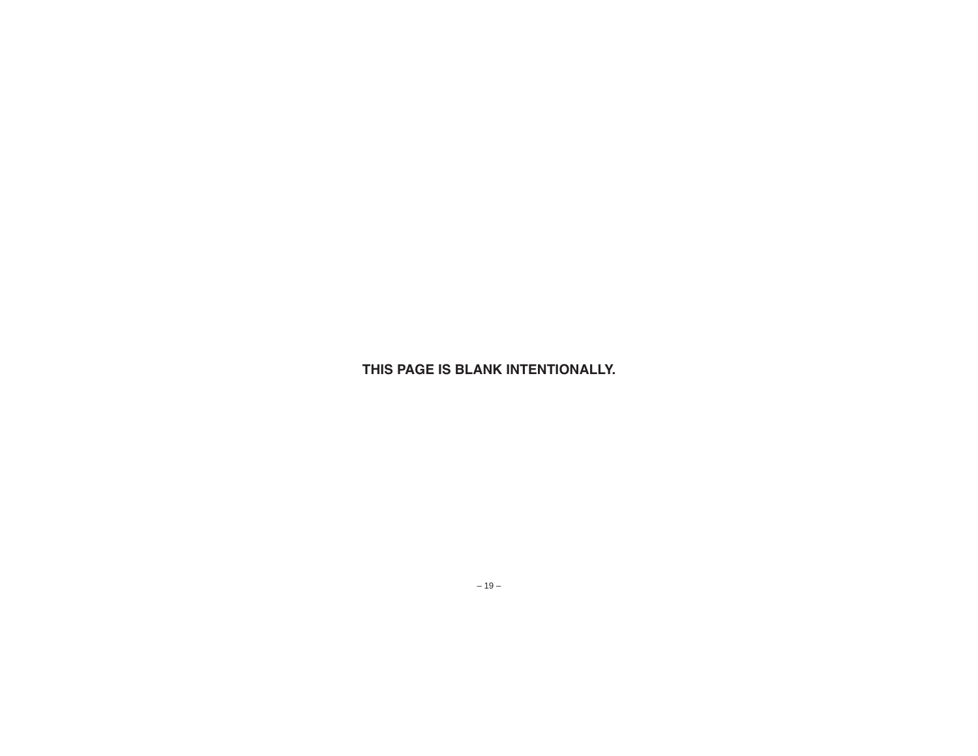# **THIS PAGE IS BLANK INTENTIONALLY.**

– 19 –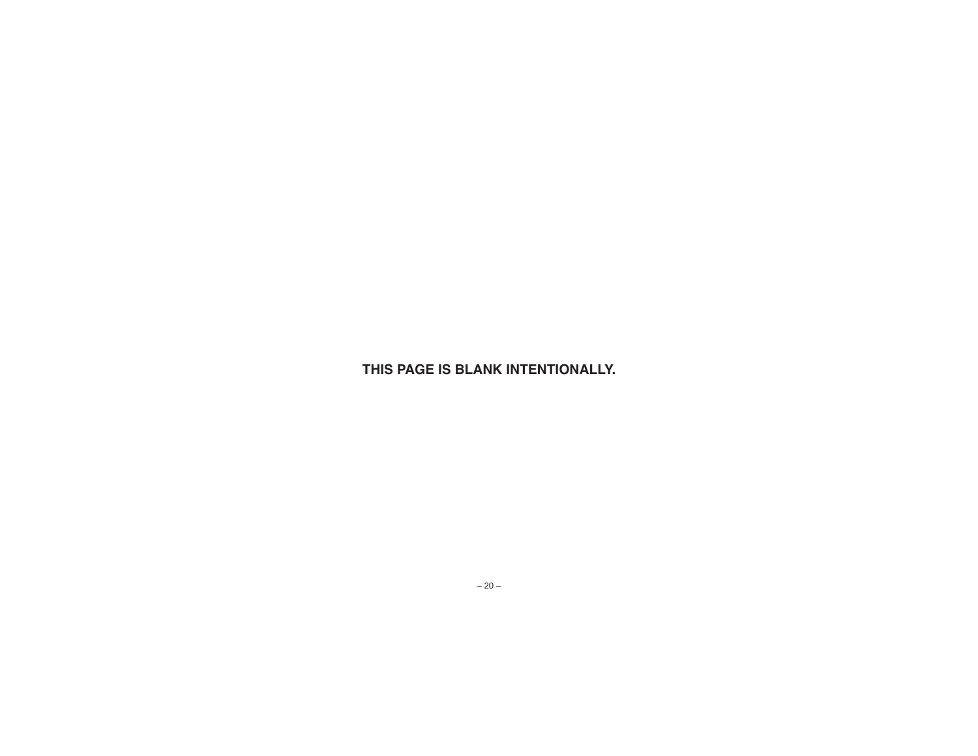# **THIS PAGE IS BLANK INTENTIONALLY.**

– 20 –